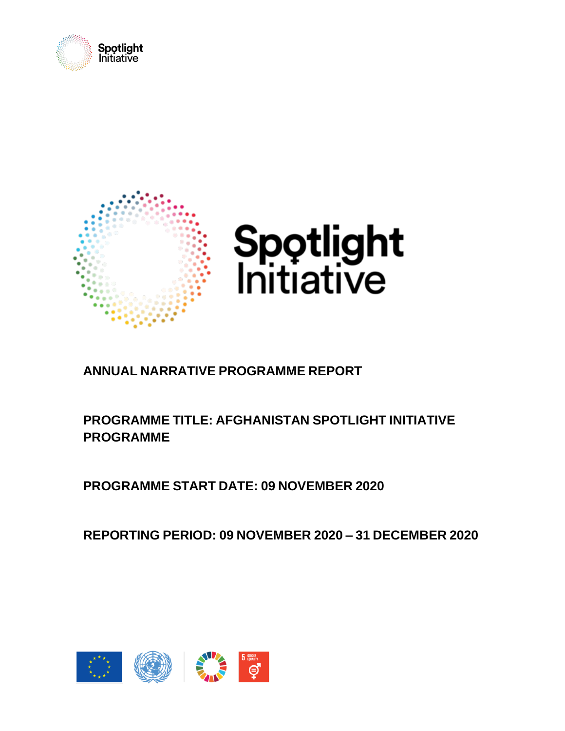



# **ANNUAL NARRATIVE PROGRAMME REPORT**

## **PROGRAMME TITLE: AFGHANISTAN SPOTLIGHT INITIATIVE PROGRAMME**

**PROGRAMME START DATE: 09 NOVEMBER 2020**

**REPORTING PERIOD: 09 NOVEMBER 2020 – 31 DECEMBER 2020**

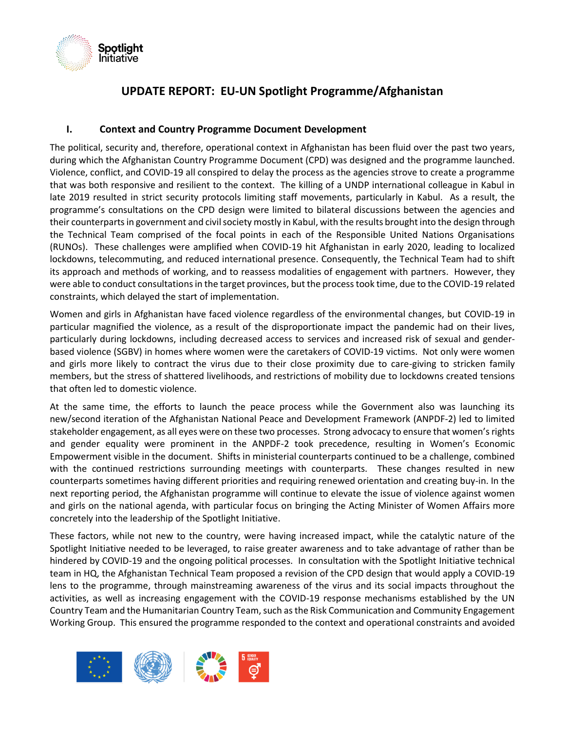

### **UPDATE REPORT: EU-UN Spotlight Programme/Afghanistan**

#### **I. Context and Country Programme Document Development**

The political, security and, therefore, operational context in Afghanistan has been fluid over the past two years, during which the Afghanistan Country Programme Document (CPD) was designed and the programme launched. Violence, conflict, and COVID-19 all conspired to delay the process as the agencies strove to create a programme that was both responsive and resilient to the context. The killing of a UNDP international colleague in Kabul in late 2019 resulted in strict security protocols limiting staff movements, particularly in Kabul. As a result, the programme's consultations on the CPD design were limited to bilateral discussions between the agencies and their counterparts in government and civil society mostly in Kabul, with the results brought into the design through the Technical Team comprised of the focal points in each of the Responsible United Nations Organisations (RUNOs). These challenges were amplified when COVID-19 hit Afghanistan in early 2020, leading to localized lockdowns, telecommuting, and reduced international presence. Consequently, the Technical Team had to shift its approach and methods of working, and to reassess modalities of engagement with partners. However, they were able to conduct consultations in the target provinces, but the process took time, due to the COVID-19 related constraints, which delayed the start of implementation.

Women and girls in Afghanistan have faced violence regardless of the environmental changes, but COVID-19 in particular magnified the violence, as a result of the disproportionate impact the pandemic had on their lives, particularly during lockdowns, including decreased access to services and increased risk of sexual and genderbased violence (SGBV) in homes where women were the caretakers of COVID-19 victims. Not only were women and girls more likely to contract the virus due to their close proximity due to care-giving to stricken family members, but the stress of shattered livelihoods, and restrictions of mobility due to lockdowns created tensions that often led to domestic violence.

At the same time, the efforts to launch the peace process while the Government also was launching its new/second iteration of the Afghanistan National Peace and Development Framework (ANPDF-2) led to limited stakeholder engagement, as all eyes were on these two processes. Strong advocacy to ensure that women's rights and gender equality were prominent in the ANPDF-2 took precedence, resulting in Women's Economic Empowerment visible in the document. Shifts in ministerial counterparts continued to be a challenge, combined with the continued restrictions surrounding meetings with counterparts. These changes resulted in new counterparts sometimes having different priorities and requiring renewed orientation and creating buy-in. In the next reporting period, the Afghanistan programme will continue to elevate the issue of violence against women and girls on the national agenda, with particular focus on bringing the Acting Minister of Women Affairs more concretely into the leadership of the Spotlight Initiative.

These factors, while not new to the country, were having increased impact, while the catalytic nature of the Spotlight Initiative needed to be leveraged, to raise greater awareness and to take advantage of rather than be hindered by COVID-19 and the ongoing political processes. In consultation with the Spotlight Initiative technical team in HQ, the Afghanistan Technical Team proposed a revision of the CPD design that would apply a COVID-19 lens to the programme, through mainstreaming awareness of the virus and its social impacts throughout the activities, as well as increasing engagement with the COVID-19 response mechanisms established by the UN Country Team and the Humanitarian Country Team, such as the Risk Communication and Community Engagement Working Group. This ensured the programme responded to the context and operational constraints and avoided

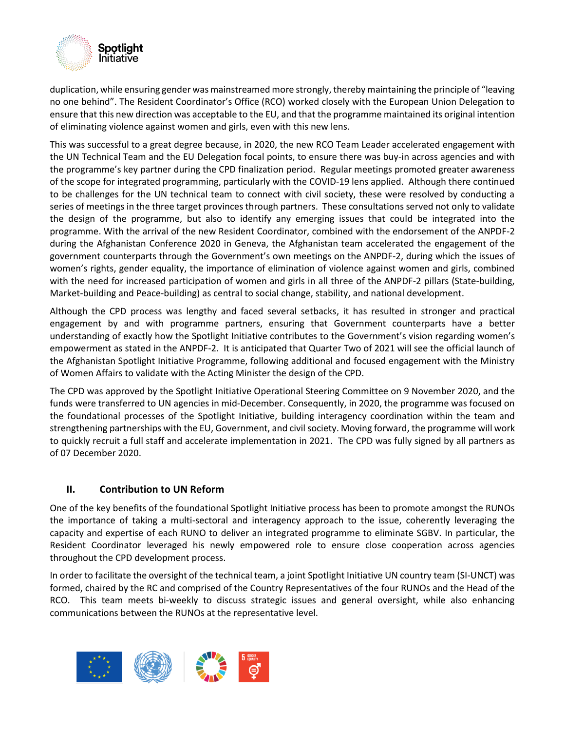

duplication, while ensuring gender was mainstreamed more strongly, thereby maintaining the principle of "leaving no one behind". The Resident Coordinator's Office (RCO) worked closely with the European Union Delegation to ensure that this new direction was acceptable to the EU, and that the programme maintained its original intention of eliminating violence against women and girls, even with this new lens.

This was successful to a great degree because, in 2020, the new RCO Team Leader accelerated engagement with the UN Technical Team and the EU Delegation focal points, to ensure there was buy-in across agencies and with the programme's key partner during the CPD finalization period. Regular meetings promoted greater awareness of the scope for integrated programming, particularly with the COVID-19 lens applied. Although there continued to be challenges for the UN technical team to connect with civil society, these were resolved by conducting a series of meetings in the three target provinces through partners. These consultations served not only to validate the design of the programme, but also to identify any emerging issues that could be integrated into the programme. With the arrival of the new Resident Coordinator, combined with the endorsement of the ANPDF-2 during the Afghanistan Conference 2020 in Geneva, the Afghanistan team accelerated the engagement of the government counterparts through the Government's own meetings on the ANPDF-2, during which the issues of women's rights, gender equality, the importance of elimination of violence against women and girls, combined with the need for increased participation of women and girls in all three of the ANPDF-2 pillars (State-building, Market-building and Peace-building) as central to social change, stability, and national development.

Although the CPD process was lengthy and faced several setbacks, it has resulted in stronger and practical engagement by and with programme partners, ensuring that Government counterparts have a better understanding of exactly how the Spotlight Initiative contributes to the Government's vision regarding women's empowerment as stated in the ANPDF-2. It is anticipated that Quarter Two of 2021 will see the official launch of the Afghanistan Spotlight Initiative Programme, following additional and focused engagement with the Ministry of Women Affairs to validate with the Acting Minister the design of the CPD.

The CPD was approved by the Spotlight Initiative Operational Steering Committee on 9 November 2020, and the funds were transferred to UN agencies in mid-December. Consequently, in 2020, the programme was focused on the foundational processes of the Spotlight Initiative, building interagency coordination within the team and strengthening partnerships with the EU, Government, and civil society. Moving forward, the programme will work to quickly recruit a full staff and accelerate implementation in 2021. The CPD was fully signed by all partners as of 07 December 2020.

#### **II. Contribution to UN Reform**

One of the key benefits of the foundational Spotlight Initiative process has been to promote amongst the RUNOs the importance of taking a multi-sectoral and interagency approach to the issue, coherently leveraging the capacity and expertise of each RUNO to deliver an integrated programme to eliminate SGBV. In particular, the Resident Coordinator leveraged his newly empowered role to ensure close cooperation across agencies throughout the CPD development process.

In order to facilitate the oversight of the technical team, a joint Spotlight Initiative UN country team (SI-UNCT) was formed, chaired by the RC and comprised of the Country Representatives of the four RUNOs and the Head of the RCO. This team meets bi-weekly to discuss strategic issues and general oversight, while also enhancing communications between the RUNOs at the representative level.

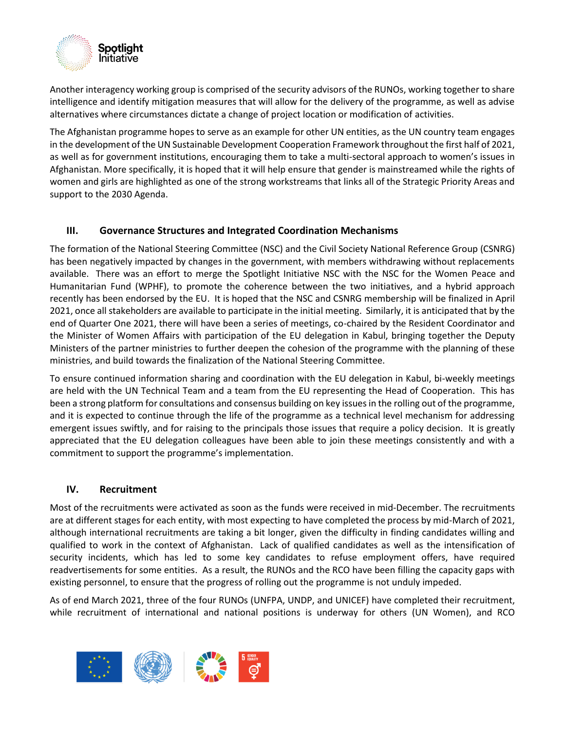

Another interagency working group is comprised of the security advisors of the RUNOs, working together to share intelligence and identify mitigation measures that will allow for the delivery of the programme, as well as advise alternatives where circumstances dictate a change of project location or modification of activities.

The Afghanistan programme hopes to serve as an example for other UN entities, as the UN country team engages in the development of the UN Sustainable Development Cooperation Framework throughout the first half of 2021, as well as for government institutions, encouraging them to take a multi-sectoral approach to women's issues in Afghanistan. More specifically, it is hoped that it will help ensure that gender is mainstreamed while the rights of women and girls are highlighted as one of the strong workstreams that links all of the Strategic Priority Areas and support to the 2030 Agenda.

#### **III. Governance Structures and Integrated Coordination Mechanisms**

The formation of the National Steering Committee (NSC) and the Civil Society National Reference Group (CSNRG) has been negatively impacted by changes in the government, with members withdrawing without replacements available. There was an effort to merge the Spotlight Initiative NSC with the NSC for the Women Peace and Humanitarian Fund (WPHF), to promote the coherence between the two initiatives, and a hybrid approach recently has been endorsed by the EU. It is hoped that the NSC and CSNRG membership will be finalized in April 2021, once all stakeholders are available to participate in the initial meeting. Similarly, it is anticipated that by the end of Quarter One 2021, there will have been a series of meetings, co-chaired by the Resident Coordinator and the Minister of Women Affairs with participation of the EU delegation in Kabul, bringing together the Deputy Ministers of the partner ministries to further deepen the cohesion of the programme with the planning of these ministries, and build towards the finalization of the National Steering Committee.

To ensure continued information sharing and coordination with the EU delegation in Kabul, bi-weekly meetings are held with the UN Technical Team and a team from the EU representing the Head of Cooperation. This has been a strong platform for consultations and consensus building on key issues in the rolling out of the programme, and it is expected to continue through the life of the programme as a technical level mechanism for addressing emergent issues swiftly, and for raising to the principals those issues that require a policy decision. It is greatly appreciated that the EU delegation colleagues have been able to join these meetings consistently and with a commitment to support the programme's implementation.

#### **IV. Recruitment**

Most of the recruitments were activated as soon as the funds were received in mid-December. The recruitments are at different stages for each entity, with most expecting to have completed the process by mid-March of 2021, although international recruitments are taking a bit longer, given the difficulty in finding candidates willing and qualified to work in the context of Afghanistan. Lack of qualified candidates as well as the intensification of security incidents, which has led to some key candidates to refuse employment offers, have required readvertisements for some entities. As a result, the RUNOs and the RCO have been filling the capacity gaps with existing personnel, to ensure that the progress of rolling out the programme is not unduly impeded.

As of end March 2021, three of the four RUNOs (UNFPA, UNDP, and UNICEF) have completed their recruitment, while recruitment of international and national positions is underway for others (UN Women), and RCO

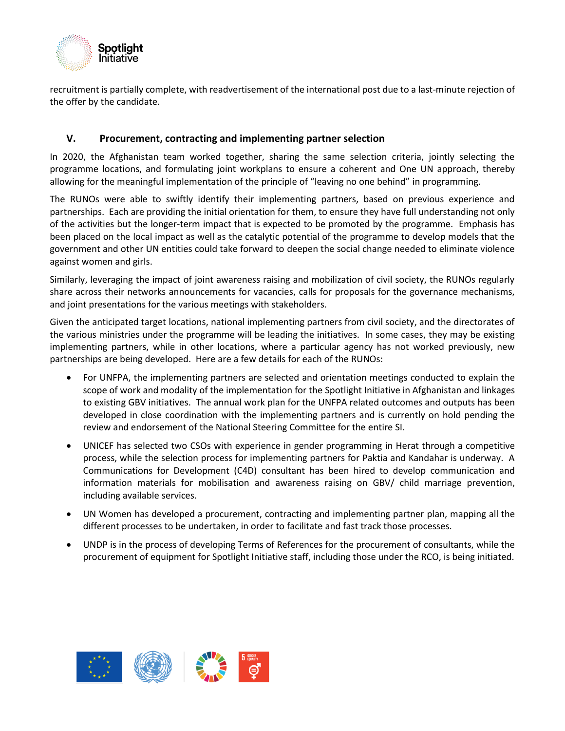

recruitment is partially complete, with readvertisement of the international post due to a last-minute rejection of the offer by the candidate.

#### **V. Procurement, contracting and implementing partner selection**

In 2020, the Afghanistan team worked together, sharing the same selection criteria, jointly selecting the programme locations, and formulating joint workplans to ensure a coherent and One UN approach, thereby allowing for the meaningful implementation of the principle of "leaving no one behind" in programming.

The RUNOs were able to swiftly identify their implementing partners, based on previous experience and partnerships. Each are providing the initial orientation for them, to ensure they have full understanding not only of the activities but the longer-term impact that is expected to be promoted by the programme. Emphasis has been placed on the local impact as well as the catalytic potential of the programme to develop models that the government and other UN entities could take forward to deepen the social change needed to eliminate violence against women and girls.

Similarly, leveraging the impact of joint awareness raising and mobilization of civil society, the RUNOs regularly share across their networks announcements for vacancies, calls for proposals for the governance mechanisms, and joint presentations for the various meetings with stakeholders.

Given the anticipated target locations, national implementing partners from civil society, and the directorates of the various ministries under the programme will be leading the initiatives. In some cases, they may be existing implementing partners, while in other locations, where a particular agency has not worked previously, new partnerships are being developed. Here are a few details for each of the RUNOs:

- For UNFPA, the implementing partners are selected and orientation meetings conducted to explain the scope of work and modality of the implementation for the Spotlight Initiative in Afghanistan and linkages to existing GBV initiatives. The annual work plan for the UNFPA related outcomes and outputs has been developed in close coordination with the implementing partners and is currently on hold pending the review and endorsement of the National Steering Committee for the entire SI.
- UNICEF has selected two CSOs with experience in gender programming in Herat through a competitive process, while the selection process for implementing partners for Paktia and Kandahar is underway. A Communications for Development (C4D) consultant has been hired to develop communication and information materials for mobilisation and awareness raising on GBV/ child marriage prevention, including available services.
- UN Women has developed a procurement, contracting and implementing partner plan, mapping all the different processes to be undertaken, in order to facilitate and fast track those processes.
- UNDP is in the process of developing Terms of References for the procurement of consultants, while the procurement of equipment for Spotlight Initiative staff, including those under the RCO, is being initiated.

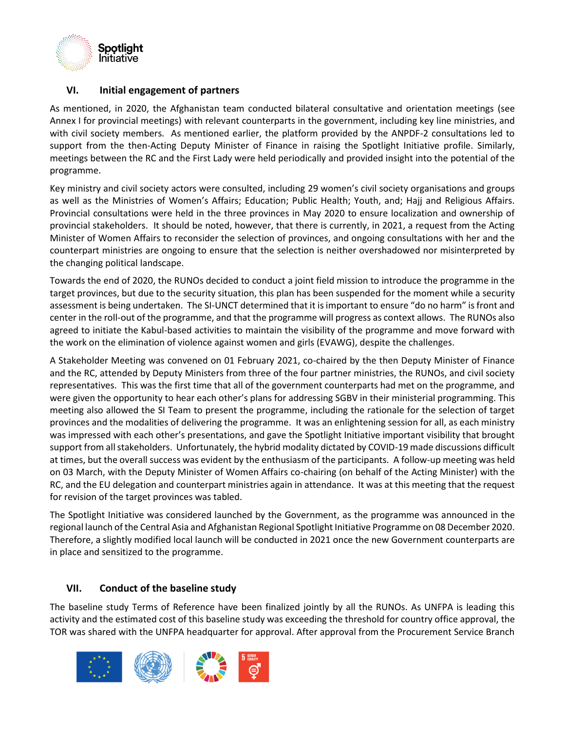

#### **VI. Initial engagement of partners**

As mentioned, in 2020, the Afghanistan team conducted bilateral consultative and orientation meetings (see Annex I for provincial meetings) with relevant counterparts in the government, including key line ministries, and with civil society members. As mentioned earlier, the platform provided by the ANPDF-2 consultations led to support from the then-Acting Deputy Minister of Finance in raising the Spotlight Initiative profile. Similarly, meetings between the RC and the First Lady were held periodically and provided insight into the potential of the programme.

Key ministry and civil society actors were consulted, including 29 women's civil society organisations and groups as well as the Ministries of Women's Affairs; Education; Public Health; Youth, and; Hajj and Religious Affairs. Provincial consultations were held in the three provinces in May 2020 to ensure localization and ownership of provincial stakeholders. It should be noted, however, that there is currently, in 2021, a request from the Acting Minister of Women Affairs to reconsider the selection of provinces, and ongoing consultations with her and the counterpart ministries are ongoing to ensure that the selection is neither overshadowed nor misinterpreted by the changing political landscape.

Towards the end of 2020, the RUNOs decided to conduct a joint field mission to introduce the programme in the target provinces, but due to the security situation, this plan has been suspended for the moment while a security assessment is being undertaken. The SI-UNCT determined that it is important to ensure "do no harm" is front and center in the roll-out of the programme, and that the programme will progress as context allows. The RUNOs also agreed to initiate the Kabul-based activities to maintain the visibility of the programme and move forward with the work on the elimination of violence against women and girls (EVAWG), despite the challenges.

A Stakeholder Meeting was convened on 01 February 2021, co-chaired by the then Deputy Minister of Finance and the RC, attended by Deputy Ministers from three of the four partner ministries, the RUNOs, and civil society representatives. This was the first time that all of the government counterparts had met on the programme, and were given the opportunity to hear each other's plans for addressing SGBV in their ministerial programming. This meeting also allowed the SI Team to present the programme, including the rationale for the selection of target provinces and the modalities of delivering the programme. It was an enlightening session for all, as each ministry was impressed with each other's presentations, and gave the Spotlight Initiative important visibility that brought support from all stakeholders. Unfortunately, the hybrid modality dictated by COVID-19 made discussions difficult at times, but the overall success was evident by the enthusiasm of the participants. A follow-up meeting was held on 03 March, with the Deputy Minister of Women Affairs co-chairing (on behalf of the Acting Minister) with the RC, and the EU delegation and counterpart ministries again in attendance. It was at this meeting that the request for revision of the target provinces was tabled.

The Spotlight Initiative was considered launched by the Government, as the programme was announced in the regional launch of the Central Asia and Afghanistan Regional Spotlight Initiative Programme on 08 December 2020. Therefore, a slightly modified local launch will be conducted in 2021 once the new Government counterparts are in place and sensitized to the programme.

#### **VII. Conduct of the baseline study**

The baseline study Terms of Reference have been finalized jointly by all the RUNOs. As UNFPA is leading this activity and the estimated cost of this baseline study was exceeding the threshold for country office approval, the TOR was shared with the UNFPA headquarter for approval. After approval from the Procurement Service Branch

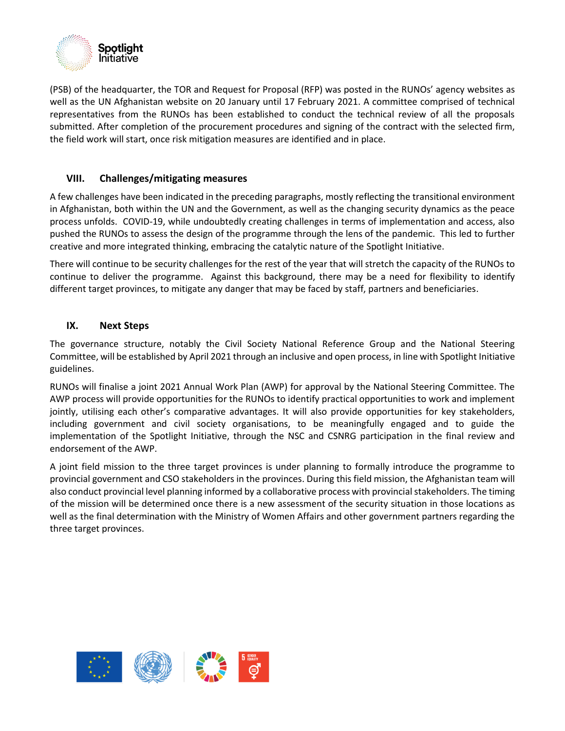

(PSB) of the headquarter, the TOR and Request for Proposal (RFP) was posted in the RUNOs' agency websites as well as the UN Afghanistan website on 20 January until 17 February 2021. A committee comprised of technical representatives from the RUNOs has been established to conduct the technical review of all the proposals submitted. After completion of the procurement procedures and signing of the contract with the selected firm, the field work will start, once risk mitigation measures are identified and in place.

#### **VIII. Challenges/mitigating measures**

A few challenges have been indicated in the preceding paragraphs, mostly reflecting the transitional environment in Afghanistan, both within the UN and the Government, as well as the changing security dynamics as the peace process unfolds. COVID-19, while undoubtedly creating challenges in terms of implementation and access, also pushed the RUNOs to assess the design of the programme through the lens of the pandemic. This led to further creative and more integrated thinking, embracing the catalytic nature of the Spotlight Initiative.

There will continue to be security challenges for the rest of the year that will stretch the capacity of the RUNOs to continue to deliver the programme. Against this background, there may be a need for flexibility to identify different target provinces, to mitigate any danger that may be faced by staff, partners and beneficiaries.

#### **IX. Next Steps**

The governance structure, notably the Civil Society National Reference Group and the National Steering Committee, will be established by April 2021 through an inclusive and open process, in line with Spotlight Initiative guidelines.

RUNOs will finalise a joint 2021 Annual Work Plan (AWP) for approval by the National Steering Committee. The AWP process will provide opportunities for the RUNOs to identify practical opportunities to work and implement jointly, utilising each other's comparative advantages. It will also provide opportunities for key stakeholders, including government and civil society organisations, to be meaningfully engaged and to guide the implementation of the Spotlight Initiative, through the NSC and CSNRG participation in the final review and endorsement of the AWP.

A joint field mission to the three target provinces is under planning to formally introduce the programme to provincial government and CSO stakeholders in the provinces. During this field mission, the Afghanistan team will also conduct provincial level planning informed by a collaborative process with provincial stakeholders. The timing of the mission will be determined once there is a new assessment of the security situation in those locations as well as the final determination with the Ministry of Women Affairs and other government partners regarding the three target provinces.